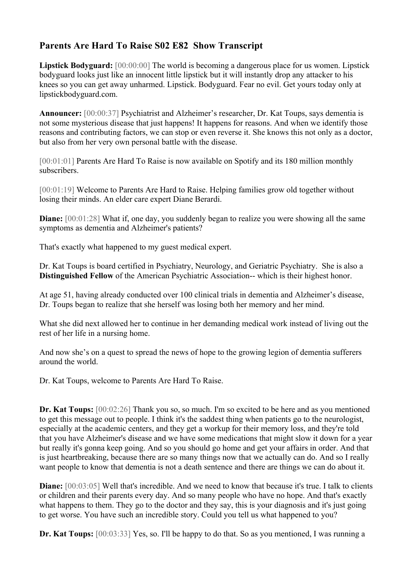## **Parents Are Hard To Raise S02 E82 Show Transcript**

**Lipstick Bodyguard:** [00:00:00] The world is becoming a dangerous place for us women. Lipstick bodyguard looks just like an innocent little lipstick but it will instantly drop any attacker to his knees so you can get away unharmed. Lipstick. Bodyguard. Fear no evil. Get yours today only at lipstickbodyguard.com.

**Announcer:** [00:00:37] Psychiatrist and Alzheimer's researcher, Dr. Kat Toups, says dementia is not some mysterious disease that just happens! It happens for reasons. And when we identify those reasons and contributing factors, we can stop or even reverse it. She knows this not only as a doctor, but also from her very own personal battle with the disease.

[00:01:01] Parents Are Hard To Raise is now available on Spotify and its 180 million monthly subscribers.

[00:01:19] Welcome to Parents Are Hard to Raise. Helping families grow old together without losing their minds. An elder care expert Diane Berardi.

**Diane:**  $[00:01:28]$  What if, one day, you suddenly began to realize you were showing all the same symptoms as dementia and Alzheimer's patients?

That's exactly what happened to my guest medical expert.

Dr. Kat Toups is board certified in Psychiatry, Neurology, and Geriatric Psychiatry. She is also a **Distinguished Fellow** of the American Psychiatric Association-- which is their highest honor.

At age 51, having already conducted over 100 clinical trials in dementia and Alzheimer's disease, Dr. Toups began to realize that she herself was losing both her memory and her mind.

What she did next allowed her to continue in her demanding medical work instead of living out the rest of her life in a nursing home.

And now she's on a quest to spread the news of hope to the growing legion of dementia sufferers around the world.

Dr. Kat Toups, welcome to Parents Are Hard To Raise.

**Dr. Kat Toups:** [00:02:26] Thank you so, so much. I'm so excited to be here and as you mentioned to get this message out to people. I think it's the saddest thing when patients go to the neurologist, especially at the academic centers, and they get a workup for their memory loss, and they're told that you have Alzheimer's disease and we have some medications that might slow it down for a year but really it's gonna keep going. And so you should go home and get your affairs in order. And that is just heartbreaking, because there are so many things now that we actually can do. And so I really want people to know that dementia is not a death sentence and there are things we can do about it.

**Diane:**  $[00:03:05]$  Well that's incredible. And we need to know that because it's true. I talk to clients or children and their parents every day. And so many people who have no hope. And that's exactly what happens to them. They go to the doctor and they say, this is your diagnosis and it's just going to get worse. You have such an incredible story. Could you tell us what happened to you?

**Dr. Kat Toups:** [00:03:33] Yes, so. I'll be happy to do that. So as you mentioned, I was running a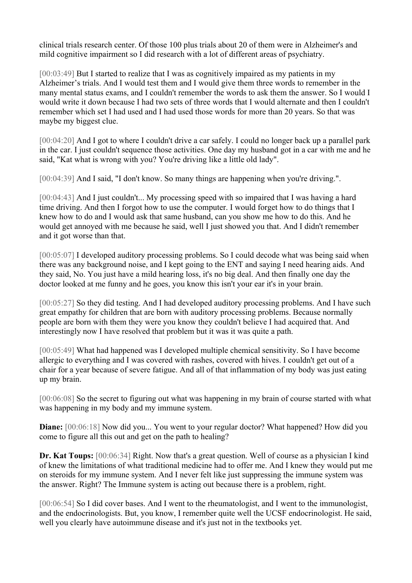clinical trials research center. Of those 100 plus trials about 20 of them were in Alzheimer's and mild cognitive impairment so I did research with a lot of different areas of psychiatry.

[00:03:49] But I started to realize that I was as cognitively impaired as my patients in my Alzheimer's trials. And I would test them and I would give them three words to remember in the many mental status exams, and I couldn't remember the words to ask them the answer. So I would I would write it down because I had two sets of three words that I would alternate and then I couldn't remember which set I had used and I had used those words for more than 20 years. So that was maybe my biggest clue.

[00:04:20] And I got to where I couldn't drive a car safely. I could no longer back up a parallel park in the car. I just couldn't sequence those activities. One day my husband got in a car with me and he said, "Kat what is wrong with you? You're driving like a little old lady".

[00:04:39] And I said, "I don't know. So many things are happening when you're driving.".

[00:04:43] And I just couldn't... My processing speed with so impaired that I was having a hard time driving. And then I forgot how to use the computer. I would forget how to do things that I knew how to do and I would ask that same husband, can you show me how to do this. And he would get annoyed with me because he said, well I just showed you that. And I didn't remember and it got worse than that.

[00:05:07] I developed auditory processing problems. So I could decode what was being said when there was any background noise, and I kept going to the ENT and saying I need hearing aids. And they said, No. You just have a mild hearing loss, it's no big deal. And then finally one day the doctor looked at me funny and he goes, you know this isn't your ear it's in your brain.

[00:05:27] So they did testing. And I had developed auditory processing problems. And I have such great empathy for children that are born with auditory processing problems. Because normally people are born with them they were you know they couldn't believe I had acquired that. And interestingly now I have resolved that problem but it was it was quite a path.

[00:05:49] What had happened was I developed multiple chemical sensitivity. So I have become allergic to everything and I was covered with rashes, covered with hives. I couldn't get out of a chair for a year because of severe fatigue. And all of that inflammation of my body was just eating up my brain.

[00:06:08] So the secret to figuring out what was happening in my brain of course started with what was happening in my body and my immune system.

**Diane:**  $[00:06:18]$  Now did you... You went to your regular doctor? What happened? How did you come to figure all this out and get on the path to healing?

**Dr. Kat Toups:** [00:06:34] Right. Now that's a great question. Well of course as a physician I kind of knew the limitations of what traditional medicine had to offer me. And I knew they would put me on steroids for my immune system. And I never felt like just suppressing the immune system was the answer. Right? The Immune system is acting out because there is a problem, right.

[00:06:54] So I did cover bases. And I went to the rheumatologist, and I went to the immunologist, and the endocrinologists. But, you know, I remember quite well the UCSF endocrinologist. He said, well you clearly have autoimmune disease and it's just not in the textbooks yet.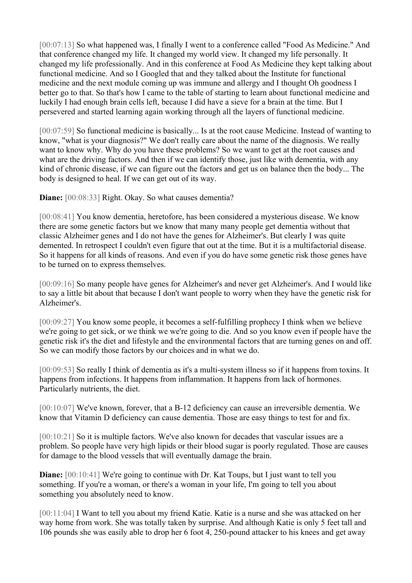[00:07:13] So what happened was, I finally I went to a conference called "Food As Medicine." And that conference changed my life. It changed my world view. It changed my life personally. It changed my life professionally. And in this conference at Food As Medicine they kept talking about functional medicine. And so I Googled that and they talked about the Institute for functional medicine and the next module coming up was immune and allergy and I thought Oh goodness I better go to that. So that's how I came to the table of starting to learn about functional medicine and luckily I had enough brain cells left, because I did have a sieve for a brain at the time. But I persevered and started learning again working through all the layers of functional medicine.

[00:07:59] So functional medicine is basically... Is at the root cause Medicine. Instead of wanting to know, "what is your diagnosis?" We don't really care about the name of the diagnosis. We really want to know why. Why do you have these problems? So we want to get at the root causes and what are the driving factors. And then if we can identify those, just like with dementia, with any kind of chronic disease, if we can figure out the factors and get us on balance then the body... The body is designed to heal. If we can get out of its way.

**Diane:** [00:08:33] Right. Okay. So what causes dementia?

[00:08:41] You know dementia, heretofore, has been considered a mysterious disease. We know there are some genetic factors but we know that many many people get dementia without that classic Alzheimer genes and I do not have the genes for Alzheimer's. But clearly I was quite demented. In retrospect I couldn't even figure that out at the time. But it is a multifactorial disease. So it happens for all kinds of reasons. And even if you do have some genetic risk those genes have to be turned on to express themselves.

[00:09:16] So many people have genes for Alzheimer's and never get Alzheimer's. And I would like to say a little bit about that because I don't want people to worry when they have the genetic risk for Alzheimer's.

[00:09:27] You know some people, it becomes a self-fulfilling prophecy I think when we believe we're going to get sick, or we think we we're going to die. And so you know even if people have the genetic risk it's the diet and lifestyle and the environmental factors that are turning genes on and off. So we can modify those factors by our choices and in what we do.

[00:09:53] So really I think of dementia as it's a multi-system illness so if it happens from toxins. It happens from infections. It happens from inflammation. It happens from lack of hormones. Particularly nutrients, the diet.

[00:10:07] We've known, forever, that a B-12 deficiency can cause an irreversible dementia. We know that Vitamin D deficiency can cause dementia. Those are easy things to test for and fix.

[00:10:21] So it is multiple factors. We've also known for decades that vascular issues are a problem. So people have very high lipids or their blood sugar is poorly regulated. Those are causes for damage to the blood vessels that will eventually damage the brain.

**Diane:**  $[00:10:41]$  We're going to continue with Dr. Kat Toups, but I just want to tell you something. If you're a woman, or there's a woman in your life, I'm going to tell you about something you absolutely need to know.

[00:11:04] I Want to tell you about my friend Katie. Katie is a nurse and she was attacked on her way home from work. She was totally taken by surprise. And although Katie is only 5 feet tall and 106 pounds she was easily able to drop her 6 foot 4, 250-pound attacker to his knees and get away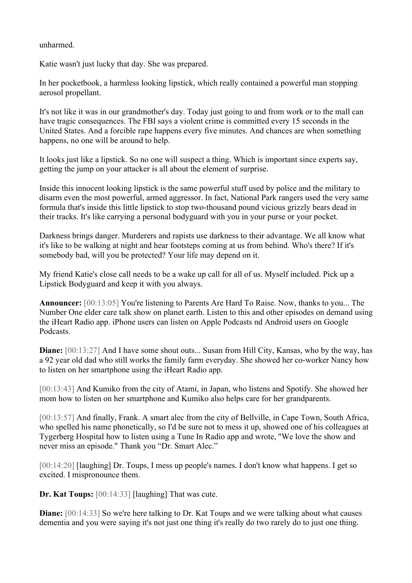unharmed.

Katie wasn't just lucky that day. She was prepared.

In her pocketbook, a harmless looking lipstick, which really contained a powerful man stopping aerosol propellant.

It's not like it was in our grandmother's day. Today just going to and from work or to the mall can have tragic consequences. The FBI says a violent crime is committed every 15 seconds in the United States. And a forcible rape happens every five minutes. And chances are when something happens, no one will be around to help.

It looks just like a lipstick. So no one will suspect a thing. Which is important since experts say, getting the jump on your attacker is all about the element of surprise.

Inside this innocent looking lipstick is the same powerful stuff used by police and the military to disarm even the most powerful, armed aggressor. In fact, National Park rangers used the very same formula that's inside this little lipstick to stop two-thousand pound vicious grizzly bears dead in their tracks. It's like carrying a personal bodyguard with you in your purse or your pocket.

Darkness brings danger. Murderers and rapists use darkness to their advantage. We all know what it's like to be walking at night and hear footsteps coming at us from behind. Who's there? If it's somebody bad, will you be protected? Your life may depend on it.

My friend Katie's close call needs to be a wake up call for all of us. Myself included. Pick up a Lipstick Bodyguard and keep it with you always.

**Announcer:** [00:13:05] You're listening to Parents Are Hard To Raise. Now, thanks to you... The Number One elder care talk show on planet earth. Listen to this and other episodes on demand using the iHeart Radio app. iPhone users can listen on Apple Podcasts nd Android users on Google Podcasts.

**Diane:** [00:13:27] And I have some shout outs... Susan from Hill City, Kansas, who by the way, has a 92 year old dad who still works the family farm everyday. She showed her co-worker Nancy how to listen on her smartphone using the iHeart Radio app.

[00:13:43] And Kumiko from the city of Atami, in Japan, who listens and Spotify. She showed her mom how to listen on her smartphone and Kumiko also helps care for her grandparents.

[00:13:57] And finally, Frank. A smart alec from the city of Bellville, in Cape Town, South Africa, who spelled his name phonetically, so I'd be sure not to mess it up, showed one of his colleagues at Tygerberg Hospital how to listen using a Tune In Radio app and wrote, "We love the show and never miss an episode." Thank you "Dr. Smart Alec."

[00:14:20] [laughing] Dr. Toups, I mess up people's names. I don't know what happens. I get so excited. I mispronounce them.

**Dr. Kat Toups:** [00:14:33] [laughing] That was cute.

**Diane:** [00:14:33] So we're here talking to Dr. Kat Toups and we were talking about what causes dementia and you were saying it's not just one thing it's really do two rarely do to just one thing.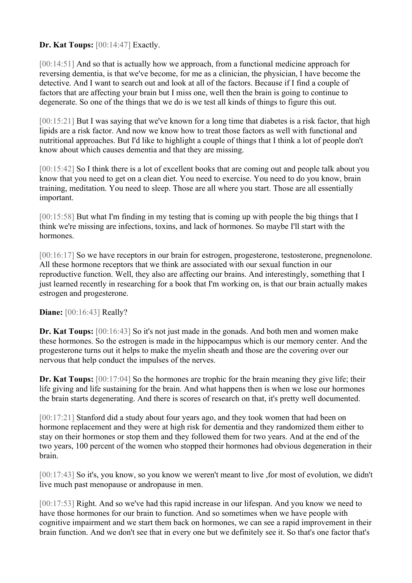**Dr. Kat Toups: [00:14:47] Exactly.** 

[00:14:51] And so that is actually how we approach, from a functional medicine approach for reversing dementia, is that we've become, for me as a clinician, the physician, I have become the detective. And I want to search out and look at all of the factors. Because if I find a couple of factors that are affecting your brain but I miss one, well then the brain is going to continue to degenerate. So one of the things that we do is we test all kinds of things to figure this out.

[00:15:21] But I was saying that we've known for a long time that diabetes is a risk factor, that high lipids are a risk factor. And now we know how to treat those factors as well with functional and nutritional approaches. But I'd like to highlight a couple of things that I think a lot of people don't know about which causes dementia and that they are missing.

[00:15:42] So I think there is a lot of excellent books that are coming out and people talk about you know that you need to get on a clean diet. You need to exercise. You need to do you know, brain training, meditation. You need to sleep. Those are all where you start. Those are all essentially important.

[00:15:58] But what I'm finding in my testing that is coming up with people the big things that I think we're missing are infections, toxins, and lack of hormones. So maybe I'll start with the hormones.

[00:16:17] So we have receptors in our brain for estrogen, progesterone, testosterone, pregnenolone. All these hormone receptors that we think are associated with our sexual function in our reproductive function. Well, they also are affecting our brains. And interestingly, something that I just learned recently in researching for a book that I'm working on, is that our brain actually makes estrogen and progesterone.

## **Diane:** [00:16:43] Really?

**Dr. Kat Toups:** [00:16:43] So it's not just made in the gonads. And both men and women make these hormones. So the estrogen is made in the hippocampus which is our memory center. And the progesterone turns out it helps to make the myelin sheath and those are the covering over our nervous that help conduct the impulses of the nerves.

**Dr. Kat Toups:** [00:17:04] So the hormones are trophic for the brain meaning they give life; their life giving and life sustaining for the brain. And what happens then is when we lose our hormones the brain starts degenerating. And there is scores of research on that, it's pretty well documented.

[00:17:21] Stanford did a study about four years ago, and they took women that had been on hormone replacement and they were at high risk for dementia and they randomized them either to stay on their hormones or stop them and they followed them for two years. And at the end of the two years, 100 percent of the women who stopped their hormones had obvious degeneration in their brain.

[00:17:43] So it's, you know, so you know we weren't meant to live, for most of evolution, we didn't live much past menopause or andropause in men.

[00:17:53] Right. And so we've had this rapid increase in our lifespan. And you know we need to have those hormones for our brain to function. And so sometimes when we have people with cognitive impairment and we start them back on hormones, we can see a rapid improvement in their brain function. And we don't see that in every one but we definitely see it. So that's one factor that's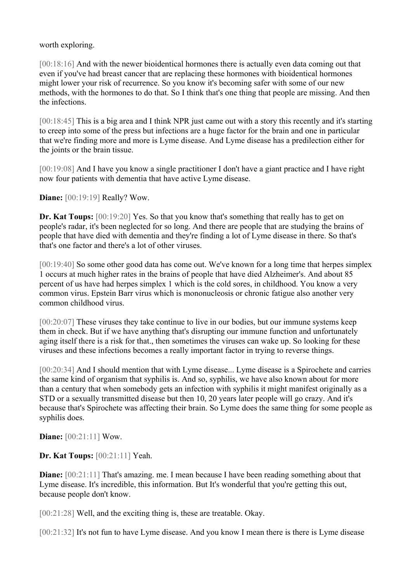worth exploring.

[00:18:16] And with the newer bioidentical hormones there is actually even data coming out that even if you've had breast cancer that are replacing these hormones with bioidentical hormones might lower your risk of recurrence. So you know it's becoming safer with some of our new methods, with the hormones to do that. So I think that's one thing that people are missing. And then the infections.

[00:18:45] This is a big area and I think NPR just came out with a story this recently and it's starting to creep into some of the press but infections are a huge factor for the brain and one in particular that we're finding more and more is Lyme disease. And Lyme disease has a predilection either for the joints or the brain tissue.

[00:19:08] And I have you know a single practitioner I don't have a giant practice and I have right now four patients with dementia that have active Lyme disease.

**Diane:** [00:19:19] Really? Wow.

**Dr. Kat Toups:** [00:19:20] Yes. So that you know that's something that really has to get on people's radar, it's been neglected for so long. And there are people that are studying the brains of people that have died with dementia and they're finding a lot of Lyme disease in there. So that's that's one factor and there's a lot of other viruses.

[00:19:40] So some other good data has come out. We've known for a long time that herpes simplex 1 occurs at much higher rates in the brains of people that have died Alzheimer's. And about 85 percent of us have had herpes simplex 1 which is the cold sores, in childhood. You know a very common virus. Epstein Barr virus which is mononucleosis or chronic fatigue also another very common childhood virus.

[00:20:07] These viruses they take continue to live in our bodies, but our immune systems keep them in check. But if we have anything that's disrupting our immune function and unfortunately aging itself there is a risk for that., then sometimes the viruses can wake up. So looking for these viruses and these infections becomes a really important factor in trying to reverse things.

[00:20:34] And I should mention that with Lyme disease... Lyme disease is a Spirochete and carries the same kind of organism that syphilis is. And so, syphilis, we have also known about for more than a century that when somebody gets an infection with syphilis it might manifest originally as a STD or a sexually transmitted disease but then 10, 20 years later people will go crazy. And it's because that's Spirochete was affecting their brain. So Lyme does the same thing for some people as syphilis does.

**Diane:** [00:21:11] Wow.

**Dr. Kat Toups:** [00:21:11] Yeah.

**Diane:**  $[00:21:11]$  That's amazing. me. I mean because I have been reading something about that Lyme disease. It's incredible, this information. But It's wonderful that you're getting this out, because people don't know.

[00:21:28] Well, and the exciting thing is, these are treatable. Okay.

[00:21:32] It's not fun to have Lyme disease. And you know I mean there is there is Lyme disease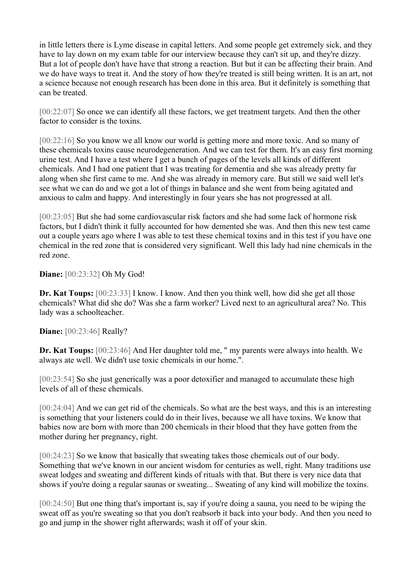in little letters there is Lyme disease in capital letters. And some people get extremely sick, and they have to lay down on my exam table for our interview because they can't sit up, and they're dizzy. But a lot of people don't have have that strong a reaction. But but it can be affecting their brain. And we do have ways to treat it. And the story of how they're treated is still being written. It is an art, not a science because not enough research has been done in this area. But it definitely is something that can be treated.

[00:22:07] So once we can identify all these factors, we get treatment targets. And then the other factor to consider is the toxins.

[00:22:16] So you know we all know our world is getting more and more toxic. And so many of these chemicals toxins cause neurodegeneration. And we can test for them. It's an easy first morning urine test. And I have a test where I get a bunch of pages of the levels all kinds of different chemicals. And I had one patient that I was treating for dementia and she was already pretty far along when she first came to me. And she was already in memory care. But still we said well let's see what we can do and we got a lot of things in balance and she went from being agitated and anxious to calm and happy. And interestingly in four years she has not progressed at all.

[00:23:05] But she had some cardiovascular risk factors and she had some lack of hormone risk factors, but I didn't think it fully accounted for how demented she was. And then this new test came out a couple years ago where I was able to test these chemical toxins and in this test if you have one chemical in the red zone that is considered very significant. Well this lady had nine chemicals in the red zone.

**Diane:** [00:23:32] Oh My God!

**Dr. Kat Toups:**  $[00:23:33]$  I know. I know. And then you think well, how did she get all those chemicals? What did she do? Was she a farm worker? Lived next to an agricultural area? No. This lady was a schoolteacher.

**Diane:** [00:23:46] Really?

**Dr. Kat Toups:** [00:23:46] And Her daughter told me, " my parents were always into health. We always ate well. We didn't use toxic chemicals in our home.".

[00:23:54] So she just generically was a poor detoxifier and managed to accumulate these high levels of all of these chemicals.

[00:24:04] And we can get rid of the chemicals. So what are the best ways, and this is an interesting is something that your listeners could do in their lives, because we all have toxins. We know that babies now are born with more than 200 chemicals in their blood that they have gotten from the mother during her pregnancy, right.

[00:24:23] So we know that basically that sweating takes those chemicals out of our body. Something that we've known in our ancient wisdom for centuries as well, right. Many traditions use sweat lodges and sweating and different kinds of rituals with that. But there is very nice data that shows if you're doing a regular saunas or sweating... Sweating of any kind will mobilize the toxins.

[00:24:50] But one thing that's important is, say if you're doing a sauna, you need to be wiping the sweat off as you're sweating so that you don't reabsorb it back into your body. And then you need to go and jump in the shower right afterwards; wash it off of your skin.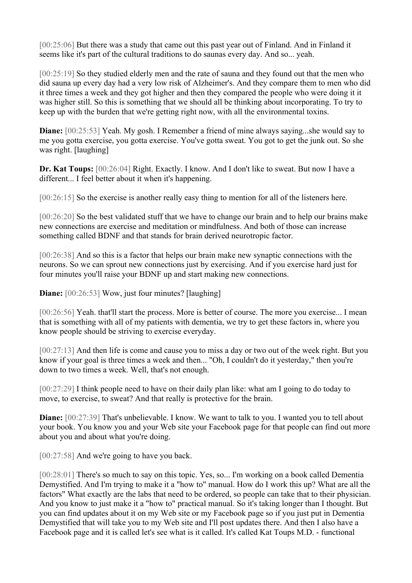[00:25:06] But there was a study that came out this past year out of Finland. And in Finland it seems like it's part of the cultural traditions to do saunas every day. And so... yeah.

[00:25:19] So they studied elderly men and the rate of sauna and they found out that the men who did sauna up every day had a very low risk of Alzheimer's. And they compare them to men who did it three times a week and they got higher and then they compared the people who were doing it it was higher still. So this is something that we should all be thinking about incorporating. To try to keep up with the burden that we're getting right now, with all the environmental toxins.

**Diane:** [00:25:53] Yeah. My gosh. I Remember a friend of mine always saying...she would say to me you gotta exercise, you gotta exercise. You've gotta sweat. You got to get the junk out. So she was right. [laughing]

**Dr. Kat Toups:** [00:26:04] Right. Exactly. I know. And I don't like to sweat. But now I have a different... I feel better about it when it's happening.

[00:26:15] So the exercise is another really easy thing to mention for all of the listeners here.

[00:26:20] So the best validated stuff that we have to change our brain and to help our brains make new connections are exercise and meditation or mindfulness. And both of those can increase something called BDNF and that stands for brain derived neurotropic factor.

[00:26:38] And so this is a factor that helps our brain make new synaptic connections with the neurons. So we can sprout new connections just by exercising. And if you exercise hard just for four minutes you'll raise your BDNF up and start making new connections.

**Diane:** [00:26:53] Wow, just four minutes? [laughing]

[00:26:56] Yeah. that'll start the process. More is better of course. The more you exercise... I mean that is something with all of my patients with dementia, we try to get these factors in, where you know people should be striving to exercise everyday.

[00:27:13] And then life is come and cause you to miss a day or two out of the week right. But you know if your goal is three times a week and then... "Oh, I couldn't do it yesterday," then you're down to two times a week. Well, that's not enough.

[00:27:29] I think people need to have on their daily plan like: what am I going to do today to move, to exercise, to sweat? And that really is protective for the brain.

**Diane:**  $[00:27:39]$  That's unbelievable. I know. We want to talk to you. I wanted you to tell about your book. You know you and your Web site your Facebook page for that people can find out more about you and about what you're doing.

[00:27:58] And we're going to have you back.

[00:28:01] There's so much to say on this topic. Yes, so... I'm working on a book called Dementia Demystified. And I'm trying to make it a "how to" manual. How do I work this up? What are all the factors" What exactly are the labs that need to be ordered, so people can take that to their physician. And you know to just make it a "how to" practical manual. So it's taking longer than I thought. But you can find updates about it on my Web site or my Facebook page so if you just put in Dementia Demystified that will take you to my Web site and I'll post updates there. And then I also have a Facebook page and it is called let's see what is it called. It's called Kat Toups M.D. - functional